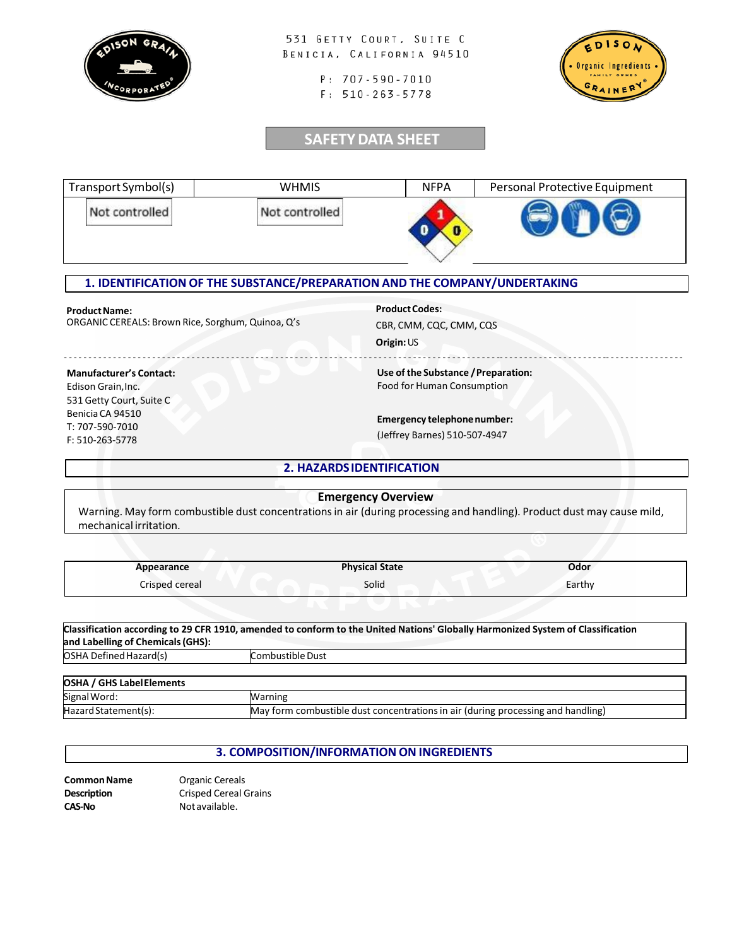

531 GETTY COURT, SUITE C BENICIA, CALIFORNIA 94510

> P: 707-590-7010  $F: 510 - 263 - 5778$



## **SAFETYDATA SHEET**

| Transport Symbol(s) | <b>WHMIS</b>   | <b>NFPA</b> | Personal Protective Equipment |
|---------------------|----------------|-------------|-------------------------------|
| Not controlled      | Not controlled |             |                               |

### **1. IDENTIFICATION OF THE SUBSTANCE/PREPARATION AND THE COMPANY/UNDERTAKING**

### **ProductName:**

ORGANIC CEREALS: Brown Rice, Sorghum, Quinoa, Q's

**Product Codes:** 

CBR, CMM, CQC, CMM, CQS

**Origin:**US

- - - - - - - - - - - - - - - - - - - - - - - - - - - - - - - - - - - - - - - - - - - - - - - - - - - - - - - - - - - - - - - - - - - - - - - - - - - - - - - - - - - - - - - - -- - - - - - - - - - - - - - - - - - - - - -- - - - - - - - - - - - - - - -

### **Manufacturer's Contact:**

Edison Grain, Inc. 531 Getty Court, Suite C Benicia CA 94510 T: 707-590-7010 F: 510-263-5778

# Food for Human Consumption

**Use of the Substance /Preparation:**

**Emergency telephonenumber:**

(Jeffrey Barnes) 510-507-4947

### **2. HAZARDSIDENTIFICATION**

### **Emergency Overview** Warning. May form combustible dust concentrations in air (during processing and handling). Product dust may cause mild, mechanical irritation.

| Appearance     | <b>Physical State</b> | Odor   |
|----------------|-----------------------|--------|
| Crisped cereal | Solid                 | Earthy |

| Classification according to 29 CFR 1910, amended to conform to the United Nations' Globally Harmonized System of Classification |                  |  |
|---------------------------------------------------------------------------------------------------------------------------------|------------------|--|
| and Labelling of Chemicals (GHS):                                                                                               |                  |  |
| <b>OSHA Defined Hazard(s)</b>                                                                                                   | Combustible Dust |  |
|                                                                                                                                 |                  |  |
| <b>OSHA / GHS Label Elements</b>                                                                                                |                  |  |
|                                                                                                                                 |                  |  |

| . .<br>al Word.<br>bign         |                                                                                           |
|---------------------------------|-------------------------------------------------------------------------------------------|
| <b>I</b> Hazd<br>n Statementis. | m combustible dust concentrations in air (during processing and handling)<br>iMav<br>rorr |
|                                 |                                                                                           |

### **3. COMPOSITION/INFORMATION ON INGREDIENTS**

| Common Name | Organic Cereals           |
|-------------|---------------------------|
| Description | <b>Crisped Cereal Gra</b> |
| CAS-No      | Not available.            |

ains Notavailable.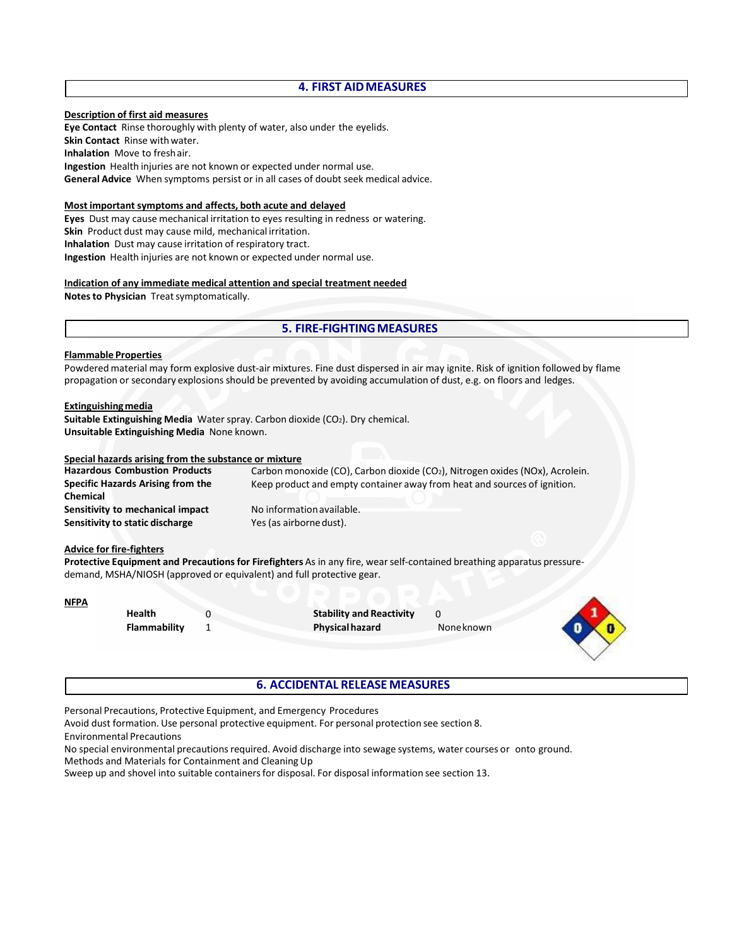### **4. FIRST AIDMEASURES**

#### **Description of first aid measures**

**Eye Contact** Rinse thoroughly with plenty of water, also under the eyelids. **Skin Contact** Rinse with water. **Inhalation** Move to freshair. **Ingestion** Health injuries are not known or expected under normal use. **General Advice** When symptoms persist or in all cases of doubt seek medical advice.

#### **Most important symptoms and affects, both acute and delayed**

**Eyes** Dust may cause mechanical irritation to eyes resulting in redness or watering. **Skin** Product dust may cause mild, mechanical irritation. **Inhalation** Dust may cause irritation of respiratory tract. **Ingestion** Health injuries are not known or expected under normal use.

#### **Indication of any immediate medical attention and special treatment needed**

**Notes to Physician** Treatsymptomatically.

### **5. FIRE-FIGHTINGMEASURES**

#### **Flammable Properties**

Powdered material may form explosive dust-air mixtures. Fine dust dispersed in air may ignite. Risk of ignition followed by flame propagation or secondary explosions should be prevented by avoiding accumulation of dust, e.g. on floors and ledges.

#### **Extinguishingmedia**

**Suitable Extinguishing Media** Water spray. Carbon dioxide (CO<sub>2</sub>). Dry chemical. **Unsuitable Extinguishing Media** None known.

#### **Special hazards arising from the substance or mixture**

Carbon monoxide (CO), Carbon dioxide (CO<sub>2</sub>), Nitrogen oxides (NOx), Acrolein. Keep product and empty container away from heat and sources of ignition. **Hazardous Combustion Products Specific Hazards Arising from the Chemical Sensitivity to mechanical impact Sensitivity to static discharge** No informationavailable. Yes (as airborne dust).

#### **Advice for fire-fighters**

**Protective Equipment and Precautions for Firefighters** As in any fire, wear self-contained breathing apparatus pressuredemand, MSHA/NIOSH (approved or equivalent) and full protective gear.

#### **NFPA**

**Health Flammability** **Stability and Reactivity Physicalhazard** 0

Noneknown



### **6. ACCIDENTAL RELEASE MEASURES**

Personal Precautions, Protective Equipment, and Emergency Procedures

0 1

Avoid dust formation. Use personal protective equipment. For personal protection see section 8.

Environmental Precautions

No special environmental precautions required. Avoid discharge into sewage systems, water courses or onto ground. Methods and Materials for Containment and CleaningUp

Sweep up and shovel into suitable containers for disposal. For disposal information see section 13.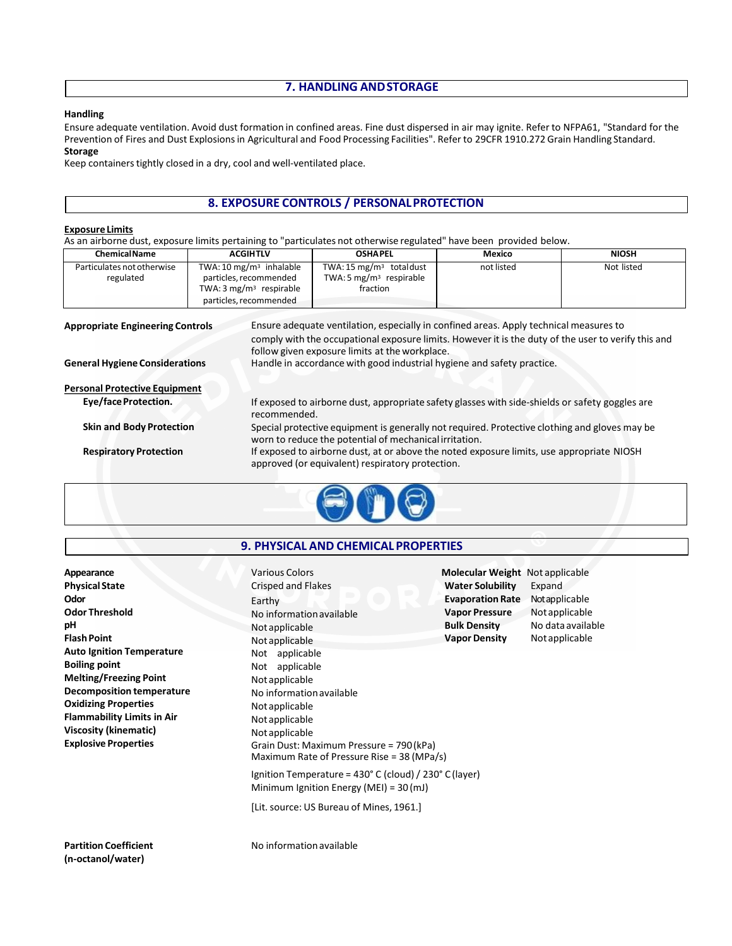### **7. HANDLING ANDSTORAGE**

#### **Handling**

Ensure adequate ventilation. Avoid dust formation in confined areas. Fine dust dispersed in air may ignite. Refer to NFPA61, "Standard for the Prevention of Fires and Dust Explosions in Agricultural and Food Processing Facilities". Refer to 29CFR 1910.272 Grain Handling Standard. **Storage**

Keep containers tightly closed in a dry, cool and well-ventilated place.

### **8. EXPOSURE CONTROLS / PERSONALPROTECTION**

#### **ExposureLimits**

As an airborne dust, exposure limits pertaining to "particulates not otherwise regulated" have been provided below.

| <b>Chemical Name</b>                    | <b>ACGIHTLV</b>                                                                                                                                         | <b>OSHAPEL</b>                                                                                                                                                                                                                                  | Mexico     | <b>NIOSH</b> |
|-----------------------------------------|---------------------------------------------------------------------------------------------------------------------------------------------------------|-------------------------------------------------------------------------------------------------------------------------------------------------------------------------------------------------------------------------------------------------|------------|--------------|
| Particulates not otherwise<br>regulated | TWA: 10 mg/m <sup>3</sup> inhalable<br>particles, recommended<br>TWA: $3 \text{ mg/m}^3$ respirable<br>particles, recommended                           | TWA: 15 mg/m <sup>3</sup> totaldust<br>TWA: 5 $mg/m3$ respirable<br>fraction                                                                                                                                                                    | not listed | Not listed   |
| <b>Appropriate Engineering Controls</b> |                                                                                                                                                         | Ensure adequate ventilation, especially in confined areas. Apply technical measures to<br>comply with the occupational exposure limits. However it is the duty of the user to verify this and<br>follow given exposure limits at the workplace. |            |              |
| <b>General Hygiene Considerations</b>   |                                                                                                                                                         | Handle in accordance with good industrial hygiene and safety practice.                                                                                                                                                                          |            |              |
| <b>Personal Protective Equipment</b>    |                                                                                                                                                         |                                                                                                                                                                                                                                                 |            |              |
| Eye/face Protection.                    | recommended.                                                                                                                                            | If exposed to airborne dust, appropriate safety glasses with side-shields or safety goggles are                                                                                                                                                 |            |              |
| <b>Skin and Body Protection</b>         | Special protective equipment is generally not required. Protective clothing and gloves may be<br>worn to reduce the potential of mechanical irritation. |                                                                                                                                                                                                                                                 |            |              |
| <b>Respiratory Protection</b>           | If exposed to airborne dust, at or above the noted exposure limits, use appropriate NIOSH<br>approved (or equivalent) respiratory protection.           |                                                                                                                                                                                                                                                 |            |              |



### **9. PHYSICAL AND CHEMICAL PROPERTIES**

| Appearance                        | <b>Various Colors</b>                                                                               | <b>Molecular Weight</b> Not applicable |                   |
|-----------------------------------|-----------------------------------------------------------------------------------------------------|----------------------------------------|-------------------|
| <b>Physical State</b>             | Crisped and Flakes<br>$\Box$                                                                        | <b>Water Solubility</b>                | Expand            |
| Odor                              | Earthy                                                                                              | <b>Evaporation Rate</b>                | Not applicable    |
| <b>Odor Threshold</b>             | No information available                                                                            | <b>Vapor Pressure</b>                  | Not applicable    |
| рH                                | Not applicable                                                                                      | <b>Bulk Density</b>                    | No data available |
| <b>Flash Point</b>                | Not applicable                                                                                      | <b>Vapor Density</b>                   | Not applicable    |
| <b>Auto Ignition Temperature</b>  | Not applicable                                                                                      |                                        |                   |
| <b>Boiling point</b>              | Not applicable                                                                                      |                                        |                   |
| <b>Melting/Freezing Point</b>     | Not applicable                                                                                      |                                        |                   |
| <b>Decomposition temperature</b>  | No information available                                                                            |                                        |                   |
| <b>Oxidizing Properties</b>       | Not applicable                                                                                      |                                        |                   |
| <b>Flammability Limits in Air</b> | Not applicable                                                                                      |                                        |                   |
| Viscosity (kinematic)             | Not applicable                                                                                      |                                        |                   |
| <b>Explosive Properties</b>       | Grain Dust: Maximum Pressure = 790 (kPa)<br>Maximum Rate of Pressure Rise = $38$ (MPa/s)            |                                        |                   |
|                                   | Ignition Temperature = 430° C (cloud) / 230° C (layer)<br>Minimum Ignition Energy (MEI) = $30$ (mJ) |                                        |                   |
|                                   | [Lit. source: US Bureau of Mines, 1961.]                                                            |                                        |                   |
|                                   |                                                                                                     |                                        |                   |

**Partition Coefficient (n-octanol/water)**

No informationavailable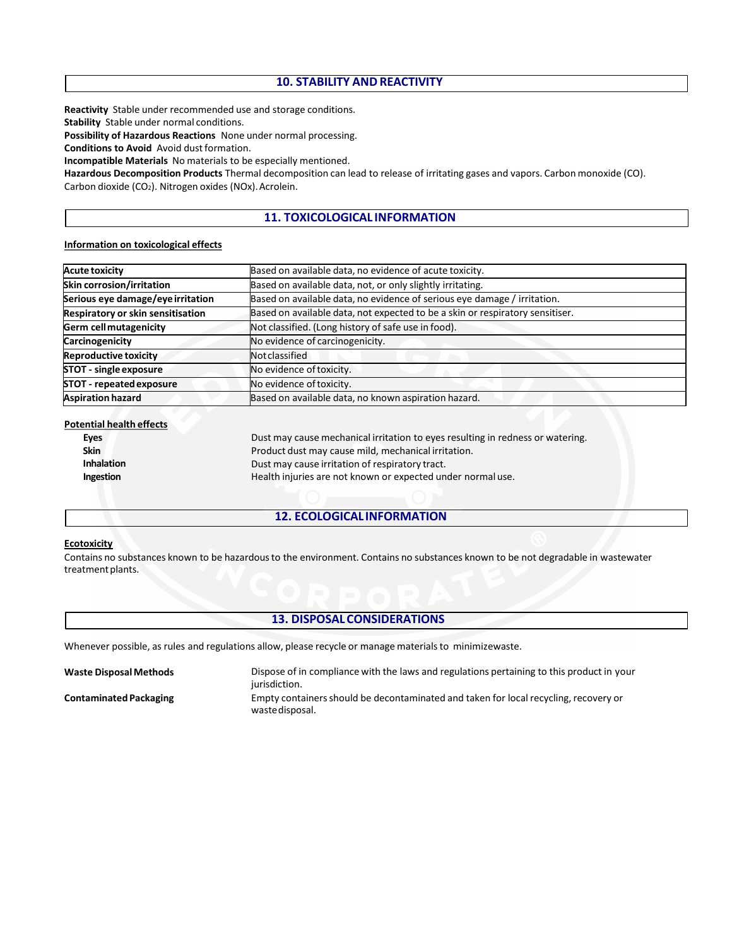### **10. STABILITY AND REACTIVITY**

**Reactivity** Stable under recommended use and storage conditions.

**Stability** Stable under normal conditions.

**Possibility of Hazardous Reactions** None under normal processing.

**Conditions to Avoid** Avoid dust formation.

**Incompatible Materials** No materials to be especially mentioned.

**Hazardous Decomposition Products** Thermal decomposition can lead to release of irritating gases and vapors. Carbon monoxide (CO). Carbon dioxide (CO<sub>2</sub>). Nitrogen oxides (NOx). Acrolein.

### **11. TOXICOLOGICAL INFORMATION**

#### **Information on toxicological effects**

| <b>Acute toxicity</b>             | Based on available data, no evidence of acute toxicity.                       |  |
|-----------------------------------|-------------------------------------------------------------------------------|--|
| Skin corrosion/irritation         | Based on available data, not, or only slightly irritating.                    |  |
| Serious eye damage/eye irritation | Based on available data, no evidence of serious eye damage / irritation.      |  |
| Respiratory or skin sensitisation | Based on available data, not expected to be a skin or respiratory sensitiser. |  |
| Germ cell mutagenicity            | Not classified. (Long history of safe use in food).                           |  |
| Carcinogenicity                   | No evidence of carcinogenicity.                                               |  |
| Reproductive toxicity             | Notclassified                                                                 |  |
| STOT - single exposure            | No evidence of toxicity.                                                      |  |
| STOT - repeated exposure          | No evidence of toxicity.                                                      |  |
| <b>Aspiration hazard</b>          | Based on available data, no known aspiration hazard.                          |  |

#### **Potential health effects**

| <b>Eves</b>       | Dust may cause mechanical irritation to eyes resulting in redness or watering. |
|-------------------|--------------------------------------------------------------------------------|
| <b>Skin</b>       | Product dust may cause mild, mechanical irritation.                            |
| <b>Inhalation</b> | Dust may cause irritation of respiratory tract.                                |
| Ingestion         | Health injuries are not known or expected under normal use.                    |
|                   |                                                                                |

### **12. ECOLOGICAL INFORMATION**

#### **Ecotoxicity**

Contains no substances known to be hazardous to the environment. Contains no substances known to be not degradable in wastewater treatment plants.

### **13. DISPOSALCONSIDERATIONS**

Whenever possible, as rules and regulations allow, please recycle or manage materials to minimizewaste.

**Waste DisposalMethods**

**Contaminated Packaging**

Dispose of in compliance with the laws and regulations pertaining to this product in your jurisdiction. Empty containers should be decontaminated and taken for local recycling, recovery or wastedisposal.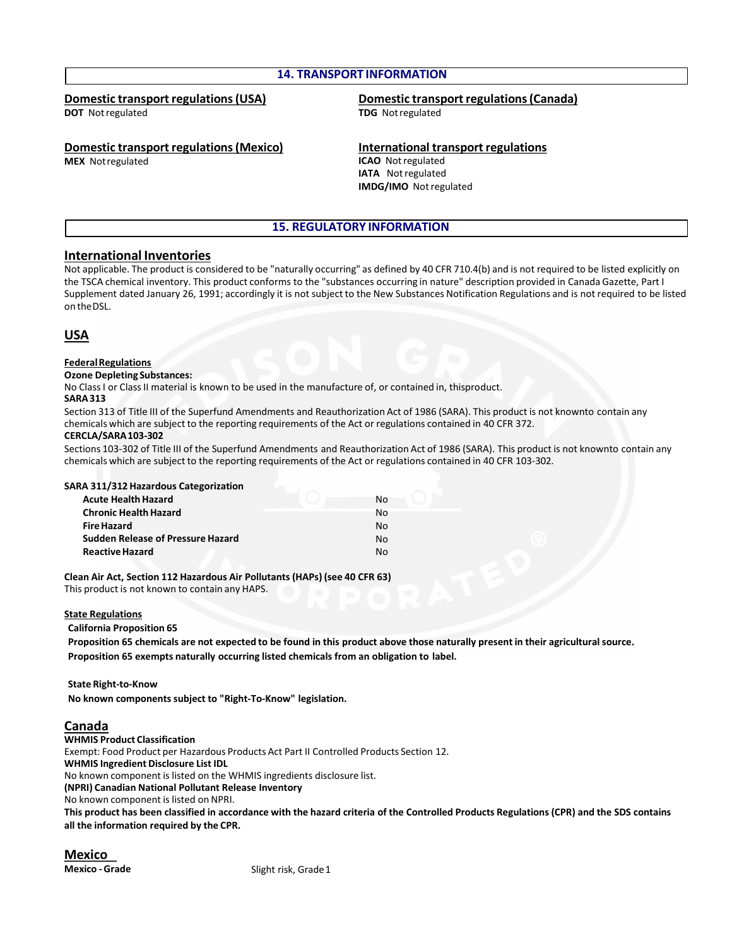### **14. TRANSPORT INFORMATION**

### **Domestic transport regulations(USA)**

**DOT** Notregulated

# **Domestic transport regulations(Canada)**

**TDG** Notregulated

### **Domestic transport regulations (Mexico)**

**MEX** Notregulated

#### **International transport regulations**

**ICAO** Notregulated **IATA** Notregulated **IMDG/IMO** Notregulated

### **15. REGULATORY INFORMATION**

### **International Inventories**

Not applicable. The product is considered to be "naturally occurring" as defined by 40 CFR 710.4(b) and is not required to be listed explicitly on the TSCA chemical inventory. This product conforms to the "substances occurring in nature" description provided in Canada Gazette, Part I Supplement dated January 26, 1991; accordingly it is not subject to the New Substances Notification Regulations and is not required to be listed on theDSL.

### **USA**

#### **FederalRegulations**

#### **Ozone Depleting Substances:**

No Class I or Class II material is known to be used in the manufacture of, or contained in, thisproduct.

#### **SARA313**

Section 313 of Title III of the Superfund Amendments and Reauthorization Act of 1986 (SARA). This product is not knownto contain any chemicals which are subject to the reporting requirements of the Act or regulations contained in 40 CFR 372.

#### **CERCLA/SARA103-302**

Sections 103-302 of Title III of the Superfund Amendments and Reauthorization Act of 1986 (SARA). This product is not knownto contain any chemicals which are subject to the reporting requirements of the Act or regulations contained in 40 CFR 103-302.

#### **SARA 311/312 Hazardous Categorization**

| <b>Acute Health Hazard</b>               |    | No. |
|------------------------------------------|----|-----|
| <b>Chronic Health Hazard</b>             | Nο |     |
| <b>Fire Hazard</b>                       | N٥ |     |
| <b>Sudden Release of Pressure Hazard</b> | N٥ |     |
| <b>Reactive Hazard</b>                   | Nο |     |

**Clean Air Act, Section 112 Hazardous Air Pollutants (HAPs) (see 40 CFR 63)** This product is not known to contain any HAPS.

#### **State Regulations**

**California Proposition 65**

**Proposition 65 chemicals are not expected to be found in this product above those naturally present in their agricultural source. Proposition 65 exempts naturally occurring listed chemicals from an obligation to label.**

**State Right-to-Know No known components subject to "Right-To-Know" legislation.**

### **Canada**

**WHMIS Product Classification** Exempt: Food Product per Hazardous Products Act Part II Controlled Products Section 12. **WHMIS Ingredient Disclosure List IDL** No known component is listed on the WHMIS ingredients disclosure list. **(NPRI) Canadian National Pollutant Release Inventory** No known component is listed on NPRI. **This product has been classified in accordance with the hazard criteria of the Controlled Products Regulations (CPR) and the SDS contains all the information required by the CPR.**

**Mexico**

**Mexico - Grade** Slight risk, Grade 1